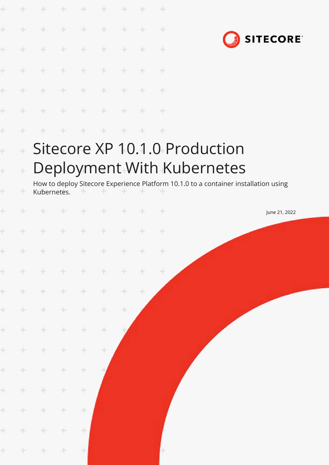|       | ÷                                                                                    | ÷           |               | ÷             | $\rightarrow$ |       |     | $\rightarrow$                                                                       |  |  |                 |  |
|-------|--------------------------------------------------------------------------------------|-------------|---------------|---------------|---------------|-------|-----|-------------------------------------------------------------------------------------|--|--|-----------------|--|
| ł     | ÷                                                                                    | ÷           | ÷             | $\frac{1}{2}$ | $+$           |       |     | $\pm$                                                                               |  |  |                 |  |
|       |                                                                                      | ÷           |               | ÷             | ÷             |       |     | ÷                                                                                   |  |  | <b>SITECORE</b> |  |
|       |                                                                                      |             |               | ÷             | ÷             |       |     | ÷                                                                                   |  |  |                 |  |
|       |                                                                                      | ÷           |               | ÷             | ÷             |       |     | ÷                                                                                   |  |  |                 |  |
|       |                                                                                      | ÷           | ÷             | ÷             | $+$           | ÷     |     | $\rightarrow$                                                                       |  |  |                 |  |
| ł     | ÷                                                                                    |             |               | ÷             | ÷             | ÷     | ÷   | $+$                                                                                 |  |  |                 |  |
| ł     | $\ddot{\phantom{0}}$                                                                 |             |               |               |               |       |     | Sitecore XP 10.1.0 Production                                                       |  |  |                 |  |
| ÷     | ÷                                                                                    |             |               |               |               |       |     | Deployment With Kubernetes                                                          |  |  |                 |  |
| ÷     | ÷                                                                                    | Kubernetes. |               | ÷             |               |       |     | How to deploy Sitecore Experience Platform 10.1.0 to a container installation using |  |  |                 |  |
|       |                                                                                      | ÷           |               | $+$           | $+$           | $\pm$ | $+$ | $+$                                                                                 |  |  | June 21, 2022   |  |
| ł     |                                                                                      |             | $+$           | ÷.            | $\pm$         | $+$   | ÷   | $\frac{1}{2}$                                                                       |  |  |                 |  |
| $+$   | $\pm$                                                                                | $+ + + + +$ |               |               | $\rightarrow$ | $+$   | $+$ | $+$                                                                                 |  |  |                 |  |
| ÷     | $\pm$                                                                                | $+$         | $+$           | $+$           | $\pm$         | $+$   | ÷   | $\pm$                                                                               |  |  |                 |  |
| $\pm$ | $\frac{1}{2} \sum_{i=1}^n \left( \frac{1}{2} \right)^2 \left( \frac{1}{2} \right)^2$ | ÷           | $+$           | $\div$        | ÷             | $+$   | ÷   |                                                                                     |  |  |                 |  |
| $\pm$ | $+$                                                                                  | $+$         | $+ \,$        | ÷             | ÷             | $\pm$ |     |                                                                                     |  |  |                 |  |
| $\pm$ | $\div$                                                                               | $\div$      | ÷             | ÷             | ÷             |       |     |                                                                                     |  |  |                 |  |
| $\pm$ | $+$                                                                                  | $\pm$       | $\pm$         | ÷             | ÷             |       |     |                                                                                     |  |  |                 |  |
| $\pm$ | $\div$                                                                               | $\div$      | ÷             | $\div$        |               |       |     |                                                                                     |  |  |                 |  |
| $\pm$ | $\div$                                                                               | $\pm$       | ÷             | $\div$        |               |       |     |                                                                                     |  |  |                 |  |
| $\pm$ | $\div$                                                                               | $\pm$       | $\frac{1}{2}$ | ÷             |               |       |     |                                                                                     |  |  |                 |  |
| ÷     | $\pm$                                                                                | $+$         | ÷             | ÷             |               |       |     |                                                                                     |  |  |                 |  |
| ÷.    | $+$                                                                                  | $\div$      | $\pm$         | $+$           |               |       |     |                                                                                     |  |  |                 |  |
|       |                                                                                      |             |               |               |               |       |     |                                                                                     |  |  |                 |  |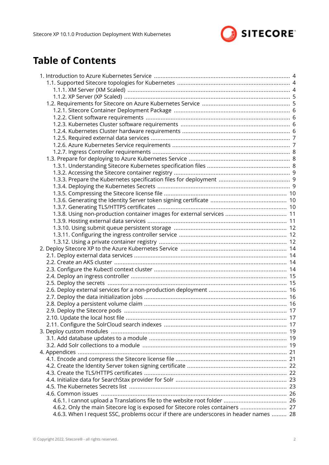

# **Table of Contents**

| 4.6.2. Only the main Sitecore log is exposed for Sitecore roles containers  27         |  |
|----------------------------------------------------------------------------------------|--|
| 4.6.3. When I request SSC, problems occur if there are underscores in header names  28 |  |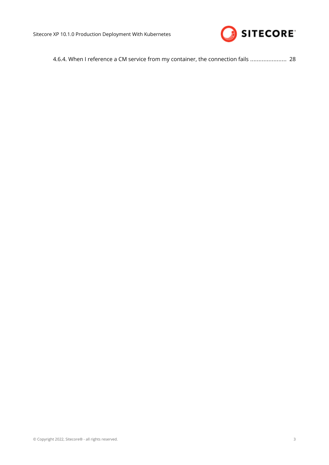

|  | 4.6.4. When I reference a CM service from my container, the connection fails  28 |  |
|--|----------------------------------------------------------------------------------|--|
|--|----------------------------------------------------------------------------------|--|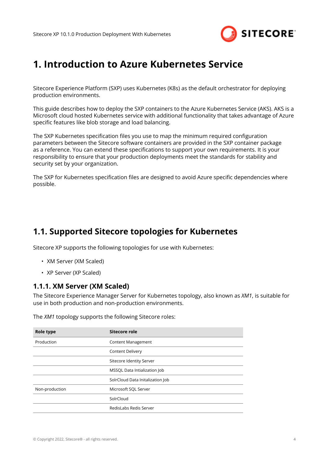

# <span id="page-3-0"></span>**1. Introduction to Azure Kubernetes Service**

Sitecore Experience Platform (SXP) uses Kubernetes (K8s) as the default orchestrator for deploying production environments.

This guide describes how to deploy the SXP containers to the Azure Kubernetes Service (AKS). AKS is a Microsoft cloud hosted Kubernetes service with additional functionality that takes advantage of Azure specific features like blob storage and load balancing.

The SXP Kubernetes specification files you use to map the minimum required configuration parameters between the Sitecore software containers are provided in the SXP container package as a reference. You can extend these specifications to support your own requirements. It is your responsibility to ensure that your production deployments meet the standards for stability and security set by your organization.

The SXP for Kubernetes specification files are designed to avoid Azure specific dependencies where possible.

## **1.1. Supported Sitecore topologies for Kubernetes**

Sitecore XP supports the following topologies for use with Kubernetes:

- XM Server (XM Scaled)
- XP Server (XP Scaled)

#### **1.1.1. XM Server (XM Scaled)**

The Sitecore Experience Manager Server for Kubernetes topology, also known as *XM1*, is suitable for use in both production and non-production environments.

The *XM1* topology supports the following Sitecore roles:

| Role type      | Sitecore role                    |
|----------------|----------------------------------|
| Production     | <b>Content Management</b>        |
|                | Content Delivery                 |
|                | Sitecore Identity Server         |
|                | MSSQL Data Intialization Job     |
|                | SolrCloud Data Initalization Job |
| Non-production | Microsoft SQL Server             |
|                | SolrCloud                        |
|                | RedisLabs Redis Server           |
|                |                                  |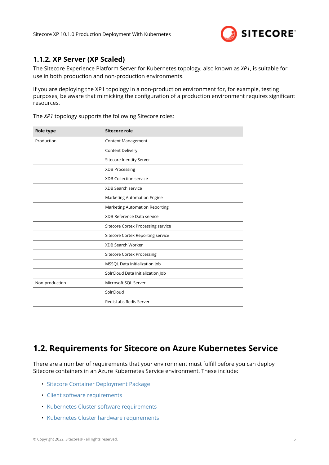

### <span id="page-4-0"></span>**1.1.2. XP Server (XP Scaled)**

The Sitecore Experience Platform Server for Kubernetes topology, also known as *XP1*, is suitable for use in both production and non-production environments.

If you are deploying the XP1 topology in a non-production environment for, for example, testing purposes, be aware that mimicking the configuration of a production environment requires significant resources.

The *XP1* topology supports the following Sitecore roles:

| Role type      | Sitecore role                      |
|----------------|------------------------------------|
| Production     | Content Management                 |
|                | Content Delivery                   |
|                | Sitecore Identity Server           |
|                | <b>XDB Processing</b>              |
|                | <b>XDB Collection service</b>      |
|                | <b>XDB Search service</b>          |
|                | Marketing Automation Engine        |
|                | Marketing Automation Reporting     |
|                | XDB Reference Data service         |
|                | Sitecore Cortex Processing service |
|                | Sitecore Cortex Reporting service  |
|                | <b>XDB Search Worker</b>           |
|                | <b>Sitecore Cortex Processing</b>  |
|                | MSSQL Data Initialization Job      |
|                | SolrCloud Data Initialization Job  |
| Non-production | Microsoft SQL Server               |
|                | SolrCloud                          |
|                | RedisLabs Redis Server             |

## **1.2. Requirements for Sitecore on Azure Kubernetes Service**

There are a number of requirements that your environment must fulfill before you can deploy Sitecore containers in an Azure Kubernetes Service environment. These include:

- [Sitecore Container Deployment Package](#page-5-0)
- [Client software requirements](#page-5-0)
- [Kubernetes Cluster software requirements](#page-5-0)
- [Kubernetes Cluster hardware requirements](#page-5-0)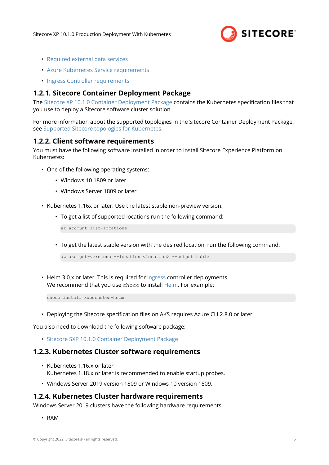

- <span id="page-5-0"></span>• [Required external data services](#page-6-0)
- [Azure Kubernetes Service requirements](#page-6-0)
- [Ingress Controller requirements](#page-7-0)

### **1.2.1. Sitecore Container Deployment Package**

The [Sitecore XP 10.1.0 Container Deployment Package](https://dev.sitecore.net/downloads) contains the Kubernetes specification files that you use to deploy a Sitecore software cluster solution.

For more information about the supported topologies in the Sitecore Container Deployment Package, see [Supported Sitecore topologies for Kubernetes.](#page-3-0)

### **1.2.2. Client software requirements**

You must have the following software installed in order to install Sitecore Experience Platform on Kubernetes:

- One of the following operating systems:
	- Windows 10 1809 or later
	- Windows Server 1809 or later
- Kubernetes 1.16x or later. Use the latest stable non-preview version.
	- To get a list of supported locations run the following command:

az account list-locations

• To get the latest stable version with the desired location, run the following command:

```
az aks get-versions --location <location> --output table
```
• Helm 3.0.x or later. This is required for [ingress](https://docs.microsoft.com/en-us/azure/aks/ingress-basic) controller deployments. We recommend that you use choco to install [Helm.](https://helm.sh/docs/intro/install/) For example:

choco install kubernetes-helm

• Deploying the Sitecore specification files on AKS requires Azure CLI 2.8.0 or later.

You also need to download the following software package:

• [Sitecore SXP 10.1.0 Container Deployment Package](https://dev.sitecore.net/Downloads/Sitecore_Experience_Platform.aspx)

#### **1.2.3. Kubernetes Cluster software requirements**

- Kubernetes 1.16.x or later Kubernetes 1.18.x or later is recommended to enable startup probes.
- Windows Server 2019 version 1809 or Windows 10 version 1809.

#### **1.2.4. Kubernetes Cluster hardware requirements**

Windows Server 2019 clusters have the following hardware requirements:

• RAM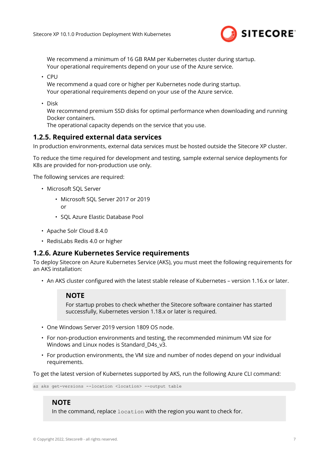

<span id="page-6-0"></span>We recommend a minimum of 16 GB RAM per Kubernetes cluster during startup. Your operational requirements depend on your use of the Azure service.

• CPU

We recommend a quad core or higher per Kubernetes node during startup. Your operational requirements depend on your use of the Azure service.

• Disk

We recommend premium SSD disks for optimal performance when downloading and running Docker containers.

The operational capacity depends on the service that you use.

#### **1.2.5. Required external data services**

In production environments, external data services must be hosted outside the Sitecore XP cluster.

To reduce the time required for development and testing, sample external service deployments for K8s are provided for non-production use only.

The following services are required:

- Microsoft SQL Server
	- Microsoft SQL Server 2017 or 2019 or
	- SQL Azure Elastic Database Pool
- Apache Solr Cloud 8.4.0
- RedisLabs Redis 4.0 or higher

#### **1.2.6. Azure Kubernetes Service requirements**

To deploy Sitecore on Azure Kubernetes Service (AKS), you must meet the following requirements for an AKS installation:

• An AKS cluster configured with the latest stable release of Kubernetes – version 1.16.x or later.

#### **NOTE**

For startup probes to check whether the Sitecore software container has started successfully, Kubernetes version 1.18.x or later is required.

- One Windows Server 2019 version 1809 OS node.
- For non-production environments and testing, the recommended minimum VM size for Windows and Linux nodes is Standard D4s v3.
- For production environments, the VM size and number of nodes depend on your individual requirements.

To get the latest version of Kubernetes supported by AKS, run the following Azure CLI command:

az aks get-versions --location <location> --output table

### **NOTE**

In the command, replace location with the region you want to check for.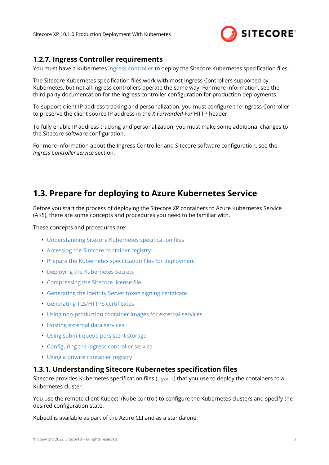

### <span id="page-7-0"></span>**1.2.7. Ingress Controller requirements**

You must have a Kubernetes [ingress controller](https://docs.microsoft.com/en-us/azure/aks/ingress-basic) to deploy the Sitecore Kubernetes specification files.

The Sitecore Kubernetes specification files work with most Ingress Controllers supported by Kubernetes, but not all ingress controllers operate the same way. For more information, see the third party documentation for the ingress controller configuration for production deployments.

To support client IP address tracking and personalization, you must configure the Ingress Controller to preserve the client source IP address in the *X-Forwarded-For* HTTP header.

To fully enable IP address tracking and personalization, you must make some additional changes to the Sitecore software configuration.

For more information about the Ingress Controller and Sitecore software configuration, see the *Ingress Controller service* section.

## **1.3. Prepare for deploying to Azure Kubernetes Service**

Before you start the process of deploying the Sitecore XP containers to Azure Kubernetes Service (AKS), there are some concepts and procedures you need to be familiar with.

These concepts and procedures are:

- Understanding Sitecore Kubernetes specification files
- [Accessing the Sitecore container registry](#page-8-0)
- [Prepare the Kubernetes specification](#page-8-0) files for deployment
- [Deploying the Kubernetes Secrets](#page-8-0)
- [Compressing the Sitecore license file](#page-9-0)
- [Generating the Identity Server token signing certificate](#page-9-0)
- [Generating TLS/HTTPS certificates](#page-9-0)
- [Using non-production container images for external services](#page-10-0)
- [Hosting external data services](#page-10-0)
- [Using submit queue persistent storage](#page-11-0)
- [Configuring the ingress controller service](#page-11-0)
- [Using a private container registry](#page-11-0)

#### **1.3.1. Understanding Sitecore Kubernetes specification files**

Sitecore provides Kubernetes specification files (. yam1) that you use to deploy the containers to a Kubernetes cluster.

You use the remote client Kubectl (Kube control) to configure the Kubernetes clusters and specify the desired configuration state.

Kubectl is available as part of the Azure CLI and as a standalone.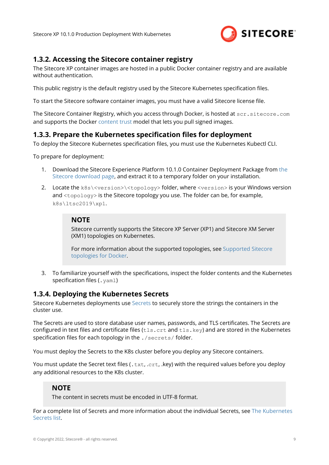

### <span id="page-8-0"></span>**1.3.2. Accessing the Sitecore container registry**

The Sitecore XP container images are hosted in a public Docker container registry and are available without authentication.

This public registry is the default registry used by the Sitecore Kubernetes specification files.

To start the Sitecore software container images, you must have a valid Sitecore license file.

The Sitecore Container Registry, which you access through Docker, is hosted at scr.sitecore.com and supports the Docker [content trust](https://docs.docker.com/engine/security/trust/content_trust) model that lets you pull signed images.

### **1.3.3. Prepare the Kubernetes specification files for deployment**

To deploy the Sitecore Kubernetes specification files, you must use the Kubernetes Kubectl CLI.

To prepare for deployment:

- 1. Download the Sitecore Experience Platform 10.1.0 Container Deployment Package from [the](https://dev.sitecore.net/Downloads/Sitecore_Experience_Platform.aspx) [Sitecore download page,](https://dev.sitecore.net/Downloads/Sitecore_Experience_Platform.aspx) and extract it to a temporary folder on your installation.
- 2. Locate the k8s\<version>\<topology> folder, where <version> is your Windows version and <topology> is the Sitecore topology you use. The folder can be, for example, k8s\ltsc2019\xp1.

### **NOTE**

Sitecore currently supports the Sitecore XP Server (XP1) and Sitecore XM Server (XM1) topologies on Kubernetes.

For more information about the supported topologies, see Supported Sitecore topologies for Docker.

3. To familiarize yourself with the specifications, inspect the folder contents and the Kubernetes specification files (. yaml)

### **1.3.4. Deploying the Kubernetes Secrets**

Sitecore Kubernetes deployments use [Secrets](https://kubernetes.io/docs/concepts/configuration/secret/) to securely store the strings the containers in the cluster use.

The Secrets are used to store database user names, passwords, and TLS certificates. The Secrets are configured in text files and certificate files ( $tls.$ crt and  $tls.$ key) and are stored in the Kubernetes specification files for each topology in the ./secrets/ folder.

You must deploy the Secrets to the K8s cluster before you deploy any Sitecore containers.

You must update the Secret text files (.txt, .crt, .key) with the required values before you deploy any additional resources to the K8s cluster.

### **NOTE**

The content in secrets must be encoded in UTF-8 format.

For a complete list of Secrets and more information about the individual Secrets, see [The Kubernetes](#page-22-0) [Secrets list.](#page-22-0)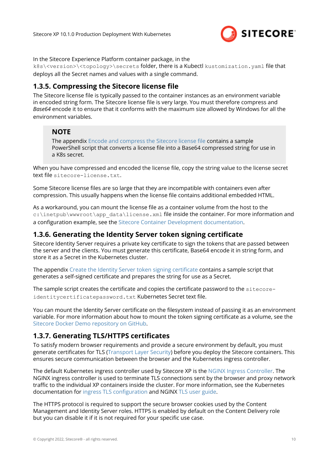

<span id="page-9-0"></span>In the Sitecore Experience Platform container package, in the

k8s\<version>\<topology>\secrets folder, there is a Kubectl kustomization.yaml file that deploys all the Secret names and values with a single command.

### **1.3.5. Compressing the Sitecore license file**

The Sitecore license file is typically passed to the container instances as an environment variable in encoded string form. The Sitecore license file is very large. You must therefore compress and *Base64* encode it to ensure that it conforms with the maximum size allowed by Windows for all the environment variables.

### **NOTE**

The appendix [Encode and compress the Sitecore license file](#page-20-0) contains a sample PowerShell script that converts a license file into a Base64 compressed string for use in a K8s secret.

When you have compressed and encoded the license file, copy the string value to the license secret text file sitecore-license.txt.

Some Sitecore license files are so large that they are incompatible with containers even after compression. This usually happens when the license file contains additional embedded HTML.

As a workaround, you can mount the license file as a container volume from the host to the c:\inetpub\wwwroot\app\_data\license.xml file inside the container. For more information and a configuration example, see the [Sitecore Container Development documentation](https://doc.sitecore.com/developers/101/developer-tools/en/run-your-first-sitecore-instance.html).

### **1.3.6. Generating the Identity Server token signing certificate**

Sitecore Identity Server requires a private key certificate to sign the tokens that are passed between the server and the clients. You must generate this certificate, Base64 encode it in string form, and store it as a Secret in the Kubernetes cluster.

The appendix [Create the Identity Server token signing certificate](#page-21-0) contains a sample script that generates a self-signed certificate and prepares the string for use as a Secret.

The sample script creates the certificate and copies the certificate password to the sitecoreidentitycertificatepassword.txt Kubernetes Secret text file.

You can mount the Identity Server certificate on the filesystem instead of passing it as an environment variable. For more information about how to mount the token signing certificate as a volume, see the [Sitecore Docker Demo repository on GitHub.](https://github.com/Sitecore/docker-demo)

### **1.3.7. Generating TLS/HTTPS certificates**

To satisfy modern browser requirements and provide a secure environment by default, you must generate certificates for TLS [\(Transport Layer Security](https://en.wikipedia.org/wiki/Transport_Layer_Security)) before you deploy the Sitecore containers. This ensures secure communication between the browser and the Kubernetes ingress controller.

The default Kubernetes ingress controller used by Sitecore XP is the [NGINX Ingress Controller.](https://www.nginx.com/products/nginx/kubernetes-ingress-controller/) The NGINX ingress controller is used to terminate TLS connections sent by the browser and proxy network traffic to the individual XP containers inside the cluster. For more information, see the Kubernetes documentation for [ingress TLS configuration](https://kubernetes.io/docs/concepts/services-networking/ingress/#tls) and NGINX [TLS user guide](https://kubernetes.github.io/ingress-nginx/user-guide/tls/).

The HTTPS protocol is required to support the secure browser cookies used by the Content Management and Identity Server roles. HTTPS is enabled by default on the Content Delivery role but you can disable it if it is not required for your specific use case.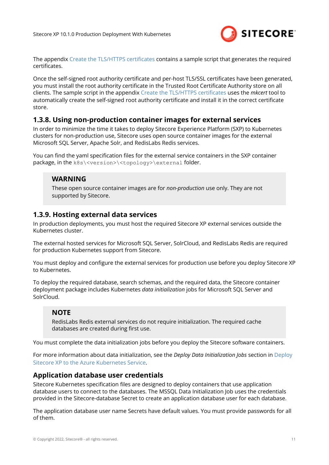

<span id="page-10-0"></span>The appendix [Create the TLS/HTTPS certificates](#page-21-0) contains a sample script that generates the required certificates.

Once the self-signed root authority certificate and per-host TLS/SSL certificates have been generated, you must install the root authority certificate in the Trusted Root Certificate Authority store on all clients. The sample script in the appendix [Create the TLS/HTTPS certificates](#page-21-0) uses the *mkcert* tool to automatically create the self-signed root authority certificate and install it in the correct certificate store.

### **1.3.8. Using non-production container images for external services**

In order to minimize the time it takes to deploy Sitecore Experience Platform (SXP) to Kubernetes clusters for non-production use, Sitecore uses open source container images for the external Microsoft SQL Server, Apache Solr, and RedisLabs Redis services.

You can find the yaml specification files for the external service containers in the SXP container package, in the k8s\<version>\<topology>\external folder.

### **WARNING**

These open source container images are for *non-production* use only. They are not supported by Sitecore.

### **1.3.9. Hosting external data services**

In production deployments, you must host the required Sitecore XP external services outside the Kubernetes cluster.

The external hosted services for Microsoft SQL Server, SolrCloud, and RedisLabs Redis are required for production Kubernetes support from Sitecore.

You must deploy and configure the external services for production use before you deploy Sitecore XP to Kubernetes.

To deploy the required database, search schemas, and the required data, the Sitecore container deployment package includes Kubernetes *data initialization* jobs for Microsoft SQL Server and SolrCloud.

### **NOTE**

RedisLabs Redis external services do not require initialization. The required cache databases are created during first use.

You must complete the data initialization jobs before you deploy the Sitecore software containers.

For more information about data initialization, see the *Deploy Data Initialization Jobs* section in [Deploy](#page-13-0) [Sitecore XP to the Azure Kubernetes Service.](#page-13-0)

### **Application database user credentials**

Sitecore Kubernetes specification files are designed to deploy containers that use application database users to connect to the databases. The MSSQL Data Initialization Job uses the credentials provided in the Sitecore-database Secret to create an application database user for each database.

The application database user name Secrets have default values. You must provide passwords for all of them.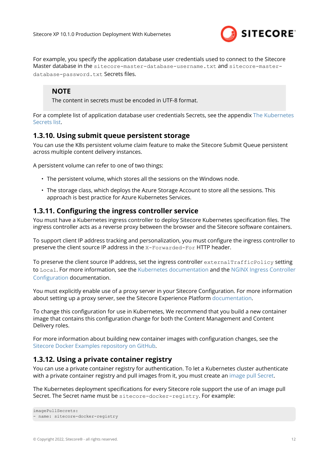

<span id="page-11-0"></span>For example, you specify the application database user credentials used to connect to the Sitecore Master database in the sitecore-master-database-username.txt and sitecore-masterdatabase-password.txt Secrets files.

### **NOTE**

The content in secrets must be encoded in UTF-8 format.

For a complete list of application database user credentials Secrets, see the appendix [The Kubernetes](#page-22-0) [Secrets list.](#page-22-0)

### **1.3.10. Using submit queue persistent storage**

You can use the K8s persistent volume claim feature to make the Sitecore Submit Queue persistent across multiple content delivery instances.

A persistent volume can refer to one of two things:

- The persistent volume, which stores all the sessions on the Windows node.
- The storage class, which deploys the Azure Storage Account to store all the sessions. This approach is best practice for Azure Kubernetes Services.

### **1.3.11. Configuring the ingress controller service**

You must have a Kubernetes ingress controller to deploy Sitecore Kubernetes specification files. The ingress controller acts as a reverse proxy between the browser and the Sitecore software containers.

To support client IP address tracking and personalization, you must configure the ingress controller to preserve the client source IP address in the X-Forwarded-For HTTP header.

To preserve the client source IP address, set the ingress controller externalTrafficPolicy setting to Local. For more information, see the [Kubernetes documentation](https://kubernetes.io/docs/tasks/access-application-cluster/create-external-load-balancer/#preserving-the-client-source-ip) and the [NGINX Ingress Controller](https://github.com/helm/charts/tree/master/stable/nginx-ingress#configuration) [Configuration](https://github.com/helm/charts/tree/master/stable/nginx-ingress#configuration) documentation.

You must explicitly enable use of a proxy server in your Sitecore Configuration. For more information about setting up a proxy server, see the Sitecore Experience Platform [documentation.](https://doc.sitecore.com/developers/101/sitecore-experience-manager/en/set-up-sitecore-ip-geolocation.html#UUID-228255d4-61ab-01c2-6c6b-cc14bc9f164a_N1542749891951)

To change this configuration for use in Kubernetes, We recommend that you build a new container image that contains this configuration change for both the Content Management and Content Delivery roles.

For more information about building new container images with configuration changes, see the [Sitecore Docker Examples repository on GitHub](https://github.com/Sitecore/docker-examples).

### **1.3.12. Using a private container registry**

You can use a private container registry for authentication. To let a Kubernetes cluster authenticate with a private container registry and pull images from it, you must create an [image pull Secret](https://kubernetes.io/docs/tasks/configure-pod-container/pull-image-private-registry/).

The Kubernetes deployment specifications for every Sitecore role support the use of an image pull Secret. The Secret name must be sitecore-docker-registry. For example:

```
imagePullSecrets:
- name: sitecore-docker-registry
```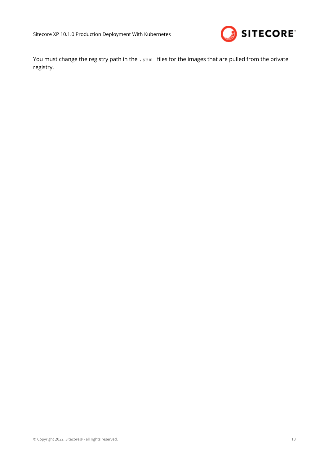

You must change the registry path in the . yaml files for the images that are pulled from the private registry.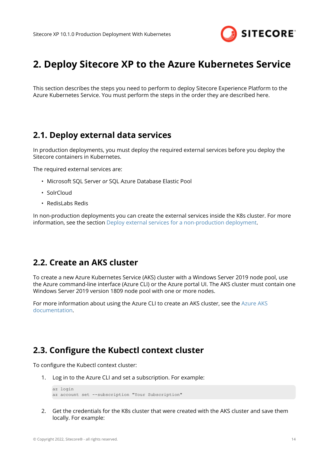

# <span id="page-13-0"></span>**2. Deploy Sitecore XP to the Azure Kubernetes Service**

This section describes the steps you need to perform to deploy Sitecore Experience Platform to the Azure Kubernetes Service. You must perform the steps in the order they are described here.

### **2.1. Deploy external data services**

In production deployments, you must deploy the required external services before you deploy the Sitecore containers in Kubernetes.

The required external services are:

- Microsoft SQL Server *or* SQL Azure Database Elastic Pool
- SolrCloud
- RedisLabs Redis

In non-production deployments you can create the external services inside the K8s cluster. For more information, see the section [Deploy external services for a non-production deployment](#page-15-0).

### **2.2. Create an AKS cluster**

To create a new Azure Kubernetes Service (AKS) cluster with a Windows Server 2019 node pool, use the Azure command-line interface (Azure CLI) or the Azure portal UI. The AKS cluster must contain one Windows Server 2019 version 1809 node pool with one or more nodes.

For more information about using the Azure CLI to create an AKS cluster, see the [Azure AKS](https://docs.microsoft.com/en-us/azure/aks/windows-container-cli) [documentation](https://docs.microsoft.com/en-us/azure/aks/windows-container-cli).

### **2.3. Configure the Kubectl context cluster**

To configure the Kubectl context cluster:

1. Log in to the Azure CLI and set a subscription. For example:

```
az login 
az account set --subscription "Your Subscription"
```
2. Get the credentials for the K8s cluster that were created with the AKS cluster and save them locally. For example: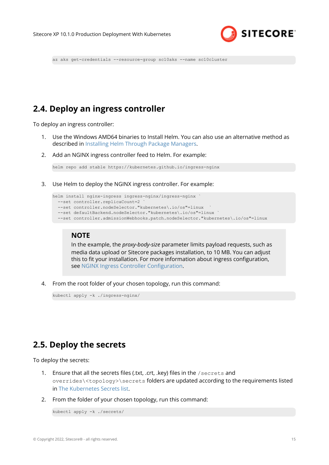

```
az aks get-credentials --resource-group sc10aks --name sc10cluster
```
## **2.4. Deploy an ingress controller**

To deploy an ingress controller:

- 1. Use the Windows AMD64 binaries to Install Helm. You can also use an alternative method as described in [Installing Helm Through Package Managers.](https://helm.sh/docs/intro/install/)
- 2. Add an NGINX ingress controller feed to Helm. For example:

helm repo add stable https://kubernetes.github.io/ingress-nginx

3. Use Helm to deploy the NGINX ingress controller. For example:

```
helm install nginx-ingress ingress-nginx/ingress-nginx `
   --set controller.replicaCount=2 `
   --set controller.nodeSelector."kubernetes\.io/os"=linux `
   --set defaultBackend.nodeSelector."kubernetes\.io/os"=linux `
   --set controller.admissionWebhooks.patch.nodeSelector."kubernetes\.io/os"=linux
```
### **NOTE**

In the example, the *proxy-body-size* parameter limits payload requests, such as media data upload or Sitecore packages installation, to 10 MB. You can adjust this to fit your installation. For more information about ingress configuration, see [NGINX Ingress Controller Configuration.](https://github.com/helm/charts/tree/master/stable/nginx-ingress#configuration)

4. From the root folder of your chosen topology, run this command:

kubectl apply -k ./ingress-nginx/

## **2.5. Deploy the secrets**

To deploy the secrets:

- 1. Ensure that all the secrets files (.txt, .crt, .key) files in the /secrets and overrides\<topology>\secrets folders are updated according to the requirements listed in [The Kubernetes Secrets list](#page-22-0).
- 2. From the folder of your chosen topology, run this command:

```
kubectl apply -k ./secrets/
```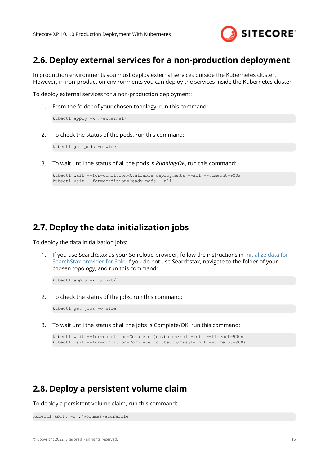

### <span id="page-15-0"></span>**2.6. Deploy external services for a non-production deployment**

In production environments you must deploy external services outside the Kubernetes cluster. However, in non-production environments you can deploy the services inside the Kubernetes cluster.

To deploy external services for a non-production deployment:

1. From the folder of your chosen topology, run this command:

```
kubectl apply -k ./external/
```
2. To check the status of the pods, run this command:

kubectl get pods -o wide

3. To wait until the status of all the pods is *Running/OK*, run this command:

```
kubectl wait --for=condition=Available deployments --all --timeout=900s
kubectl wait --for=condition=Ready pods --all
```
## **2.7. Deploy the data initialization jobs**

To deploy the data initialization jobs:

1. If you use SearchStax as your SolrCloud provider, follow the instructions in [Initialize data for](#page-22-0) [SearchStax provider for Solr](#page-22-0). If you do not use Searchstax, navigate to the folder of your chosen topology, and run this command:

kubectl apply -k ./init/

2. To check the status of the jobs, run this command:

kubectl get jobs -o wide

3. To wait until the status of all the jobs is Complete/OK, run this command:

```
kubectl wait --for=condition=Complete job.batch/solr-init --timeout=900s
kubectl wait --for=condition=Complete job.batch/mssql-init --timeout=900s
```
## **2.8. Deploy a persistent volume claim**

To deploy a persistent volume claim, run this command:

```
kubectl apply -f ./volumes/azurefile
```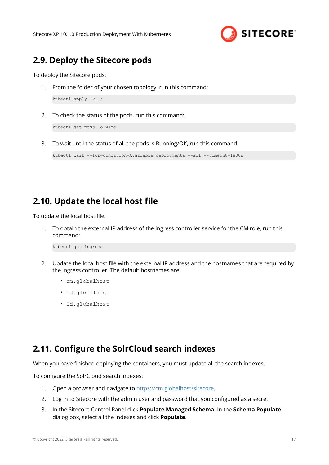

## <span id="page-16-0"></span>**2.9. Deploy the Sitecore pods**

To deploy the Sitecore pods:

1. From the folder of your chosen topology, run this command:

kubectl apply -k ./

2. To check the status of the pods, run this command:

kubectl get pods -o wide

3. To wait until the status of all the pods is Running/OK, run this command:

```
kubectl wait --for=condition=Available deployments --all --timeout=1800s
```
## **2.10. Update the local host file**

To update the local host file:

1. To obtain the external IP address of the ingress controller service for the CM role, run this command:

kubectl get ingress

- 2. Update the local host file with the external IP address and the hostnames that are required by the ingress controller. The default hostnames are:
	- cm.globalhost
	- cd.globalhost
	- Id.globalhost

## **2.11. Configure the SolrCloud search indexes**

When you have finished deploying the containers, you must update all the search indexes.

To configure the SolrCloud search indexes:

- 1. Open a browser and navigate to<https://cm.globalhost/sitecore>.
- 2. Log in to Sitecore with the admin user and password that you configured as a secret.
- 3. In the Sitecore Control Panel click **Populate Managed Schema**. In the **Schema Populate** dialog box, select all the indexes and click **Populate**.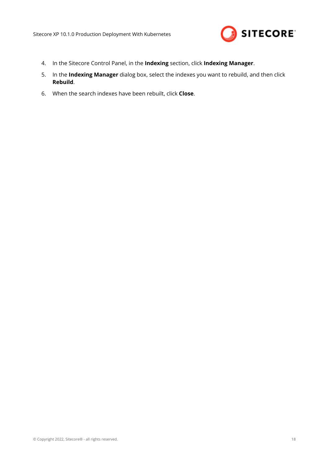

- 4. In the Sitecore Control Panel, in the **Indexing** section, click **Indexing Manager**.
- 5. In the **Indexing Manager** dialog box, select the indexes you want to rebuild, and then click **Rebuild**.
- 6. When the search indexes have been rebuilt, click **Close**.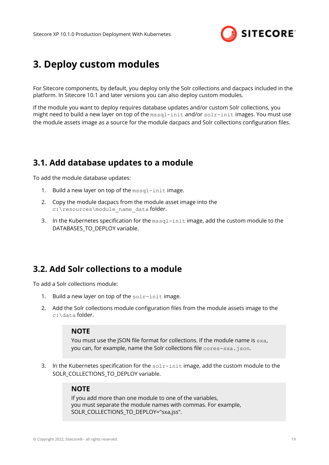

# <span id="page-18-0"></span>**3. Deploy custom modules**

For Sitecore components, by default, you deploy only the Solr collections and dacpacs included in the platform. In Sitecore 10.1 and later versions you can also deploy custom modules.

If the module you want to deploy requires database updates and/or custom Solr collections, you might need to build a new layer on top of the mssql-init and/or solr-init images. You must use the module assets image as a source for the module dacpacs and Solr collections configuration files.

## **3.1. Add database updates to a module**

To add the module database updates:

- 1. Build a new layer on top of the mssql-init image.
- 2. Copy the module dacpacs from the module asset image into the c:\resources\module\_name\_data folder.
- 3. In the Kubernetes specification for the  $msq1 init$  image, add the custom module to the DATABASES TO DEPLOY variable.

## **3.2. Add Solr collections to a module**

To add a Solr collections module:

- 1. Build a new layer on top of the  $solar-int$  image.
- 2. Add the Solr collections module configuration files from the module assets image to the c:\data folder.

### **NOTE**

You must use the JSON file format for collections. If the module name is sxa, you can, for example, name the Solr collections file cores-sxa.json.

3. In the Kubernetes specification for the  $\text{softmax}$  init image, add the custom module to the SOLR COLLECTIONS TO DEPLOY variable.

#### **NOTE**

If you add more than one module to one of the variables, you must separate the module names with commas. For example, SOLR\_COLLECTIONS\_TO\_DEPLOY="sxa,jss".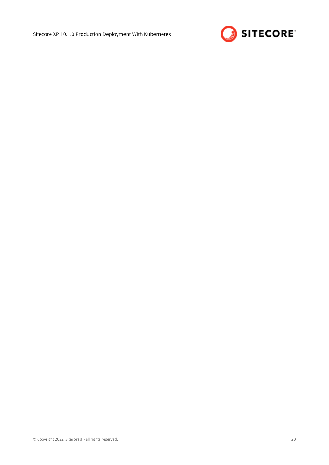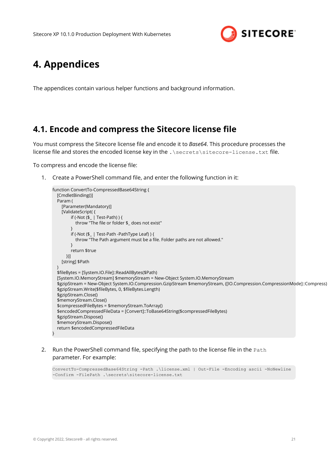

# <span id="page-20-0"></span>**4. Appendices**

The appendices contain various helper functions and background information.

## **4.1. Encode and compress the Sitecore license file**

You must compress the Sitecore license file and encode it to *Base64*. This procedure processes the license file and stores the encoded license key in the .\secrets\sitecore-license.txt file.

To compress and encode the license file:

1. Create a PowerShell command file, and enter the following function in it:

```
function ConvertTo-CompressedBase64String {
   [CmdletBinding()]
   Param (
     [Parameter(Mandatory)]
     [ValidateScript( {
         if (-Not ($_ | Test-Path) ) {
           throw "The file or folder $_ does not exist"
}<br>}
         if (-Not ($_ | Test-Path -PathType Leaf) ) {
           throw "The Path argument must be a file. Folder paths are not allowed."
         }
         return $true
       })]
     [string] $Path
   )
   $fileBytes = [System.IO.File]::ReadAllBytes($Path)
   [System.IO.MemoryStream] $memoryStream = New-Object System.IO.MemoryStream
   $gzipStream = New-Object System.IO.Compression.GzipStream $memoryStream, ([IO.Compression.CompressionMode]::Compress)
   $gzipStream.Write($fileBytes, 0, $fileBytes.Length)
   $gzipStream.Close()
   $memoryStream.Close()
   $compressedFileBytes = $memoryStream.ToArray()
   $encodedCompressedFileData = [Convert]::ToBase64String($compressedFileBytes)
  $gzipStream.Dispose()
   $memoryStream.Dispose()
   return $encodedCompressedFileData
}
```
2. Run the PowerShell command file, specifying the path to the license file in the Path parameter. For example:

ConvertTo-CompressedBase64String -Path .\license.xml | Out-File -Encoding ascii -NoNewline -Confirm -FilePath .\secrets\sitecore-license.txt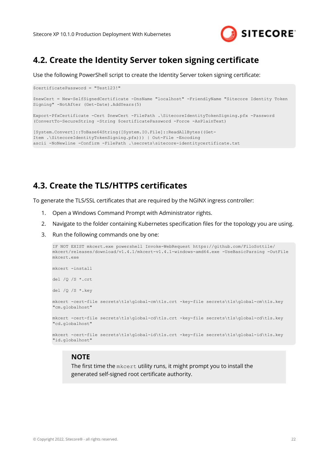

## <span id="page-21-0"></span>**4.2. Create the Identity Server token signing certificate**

Use the following PowerShell script to create the Identity Server token signing certificate:

```
$certificatePassword = "Test123!"
$newCert = New-SelfSignedCertificate -DnsName "localhost" -FriendlyName "Sitecore Identity Token 
Signing" -NotAfter (Get-Date).AddYears(5)
Export-PfxCertificate -Cert $newCert -FilePath .\SitecoreIdentityTokenSigning.pfx -Password 
(ConvertTo-SecureString -String $certificatePassword -Force -AsPlainText)
[System.Convert]::ToBase64String([System.IO.File]::ReadAllBytes((Get-
Item .\SitecoreIdentityTokenSigning.pfx))) | Out-File -Encoding
```
## **4.3. Create the TLS/HTTPS certificates**

To generate the TLS/SSL certificates that are required by the NGINX ingress controller:

ascii -NoNewline -Confirm -FilePath .\secrets\sitecore-identitycertificate.txt

- 1. Open a Windows Command Prompt with Administrator rights.
- 2. Navigate to the folder containing Kubernetes specification files for the topology you are using.
- 3. Run the following commands one by one:

```
IF NOT EXIST mkcert.exe powershell Invoke-WebRequest https://github.com/FiloSottile/
mkcert/releases/download/v1.4.1/mkcert-v1.4.1-windows-amd64.exe -UseBasicParsing -OutFile 
mkcert.exe
mkcert -install
del /Q /S *.crt
del /Q /S *.key
mkcert -cert-file secrets\tls\global-cm\tls.crt -key-file secrets\tls\global-cm\tls.key 
"cm.globalhost"
mkcert -cert-file secrets\tls\global-cd\tls.crt -key-file secrets\tls\global-cd\tls.key 
"cd.globalhost"
mkcert -cert-file secrets\tls\global-id\tls.crt -key-file secrets\tls\global-id\tls.key 
"id.globalhost"
```
### **NOTE**

The first time the mkcert utility runs, it might prompt you to install the generated self-signed root certificate authority.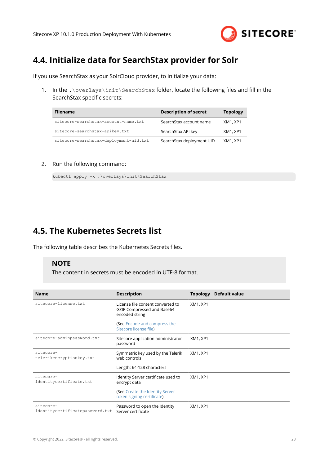

## <span id="page-22-0"></span>**4.4. Initialize data for SearchStax provider for Solr**

If you use SearchStax as your SolrCloud provider, to initialize your data:

1. In the .\overlays\init\SearchStax folder, locate the following files and fill in the SearchStax specific secrets:

| <b>Filename</b>                        | <b>Description of secret</b> | <b>Topology</b> |
|----------------------------------------|------------------------------|-----------------|
| sitecore-searchstax-account-name.txt   | SearchStax account name      | XM1, XP1        |
| sitecore-searchstax-apikey.txt         | SearchStax API key           | XM1, XP1        |
| sitecore-searchstax-deployment-uid.txt | SearchStax deployment UID    | XM1, XP1        |

2. Run the following command:

```
kubectl apply -k .\overlays\init\SearchStax
```
## **4.5. The Kubernetes Secrets list**

The following table describes the Kubernetes Secrets files.

### **NOTE**

The content in secrets must be encoded in UTF-8 format.

| <b>Name</b>                                  | <b>Description</b>                                                                | <b>Topology</b> | Default value |
|----------------------------------------------|-----------------------------------------------------------------------------------|-----------------|---------------|
| sitecore-license.txt                         | License file content converted to<br>GZIP Compressed and Base64<br>encoded string | <b>XM1, XP1</b> |               |
|                                              | (See Encode and compress the<br>Sitecore license file)                            |                 |               |
| sitecore-adminpassword.txt                   | Sitecore application administrator<br>password                                    | <b>XM1, XP1</b> |               |
| sitecore-<br>telerikencryptionkey.txt        | Symmetric key used by the Telerik<br>web controls                                 | <b>XM1, XP1</b> |               |
|                                              | Length: 64-128 characters                                                         |                 |               |
| sitecore-<br>identitycertificate.txt         | Identity Server certificate used to<br>encrypt data                               | <b>XM1, XP1</b> |               |
|                                              | (See Create the Identity Server<br>token signing certificate)                     |                 |               |
| sitecore-<br>identitycertificatepassword.txt | Password to open the Identity<br>Server certificate                               | XM1, XP1        |               |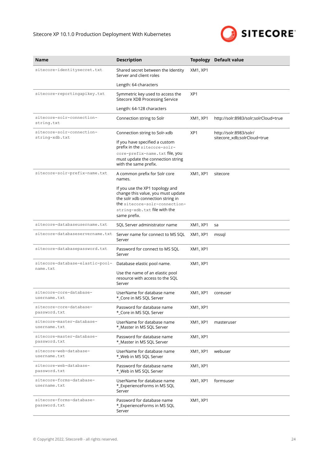

| Name                                        | <b>Description</b>                                                                                         |                 | <b>Topology</b> Default value                         |
|---------------------------------------------|------------------------------------------------------------------------------------------------------------|-----------------|-------------------------------------------------------|
| sitecore-identitysecret.txt                 | Shared secret between the Identity<br>Server and client roles                                              | <b>XM1, XP1</b> |                                                       |
|                                             | Length: 64 characters                                                                                      |                 |                                                       |
| sitecore-reportingapikey.txt                | Symmetric key used to access the<br>Sitecore XDB Processing Service                                        | XP <sub>1</sub> |                                                       |
|                                             | Length: 64-128 characters                                                                                  |                 |                                                       |
| sitecore-solr-connection-<br>string.txt     | Connection string to Solr                                                                                  | XM1, XP1        | http://solr:8983/solr;solrCloud=true                  |
| sitecore-solr-connection-<br>string-xdb.txt | Connection string to Solr-xdb                                                                              | XP <sub>1</sub> | http://solr:8983/solr/<br>sitecore_xdb;solrCloud=true |
|                                             | If you have specified a custom<br>prefix in the sitecore-solr-                                             |                 |                                                       |
|                                             | core-prefix-name.txt file, you                                                                             |                 |                                                       |
|                                             | must update the connection string<br>with the same prefix.                                                 |                 |                                                       |
| sitecore-solr-prefix-name.txt               | A common prefix for Solr core<br>names.                                                                    | XM1, XP1        | sitecore                                              |
|                                             | If you use the XP1 topology and<br>change this value, you must update<br>the solr xdb connection string in |                 |                                                       |
|                                             | the sitecore-solr-connection-                                                                              |                 |                                                       |
|                                             | string-xdb.txt file with the<br>same prefix.                                                               |                 |                                                       |
| sitecore-databaseusername.txt               | SQL Server administrator name                                                                              | XM1, XP1        | sa                                                    |
| sitecore-databaseservername.txt             | Server name for connect to MS SQL<br>Server                                                                | XM1, XP1        | mssql                                                 |
| sitecore-databasepassword.txt               | Password for connect to MS SQL<br>Server                                                                   | <b>XM1, XP1</b> |                                                       |
| sitecore-database-elastic-pool-<br>name.txt | Database elastic pool name.                                                                                | <b>XM1, XP1</b> |                                                       |
|                                             | Use the name of an elastic pool<br>resource with access to the SQL<br>Server                               |                 |                                                       |
| sitecore-core-database-<br>username.txt     | UserName for database name<br>* Core in MS SQL Server                                                      | XM1, XP1        | coreuser                                              |
| sitecore-core-database-<br>password.txt     | Password for database name<br>* Core in MS SQL Server                                                      | XM1, XP1        |                                                       |
| sitecore-master-database-<br>username.txt   | UserName for database name<br>*_Master in MS SQL Server                                                    | XM1, XP1        | masteruser                                            |
| sitecore-master-database-<br>password.txt   | Password for database name<br>* Master in MS SQL Server                                                    | XM1, XP1        |                                                       |
| sitecore-web-database-<br>username.txt      | UserName for database name<br>* Web in MS SQL Server                                                       | XM1, XP1        | webuser                                               |
| sitecore-web-database-<br>password.txt      | Password for database name<br>* Web in MS SQL Server                                                       | XM1, XP1        |                                                       |
| sitecore-forms-database-<br>username.txt    | UserName for database name<br>*_ExperienceForms in MS SQL<br>Server                                        | XM1, XP1        | formsuser                                             |
| sitecore-forms-database-<br>password.txt    | Password for database name<br>*_ExperienceForms in MS SQL<br>Server                                        | XM1, XP1        |                                                       |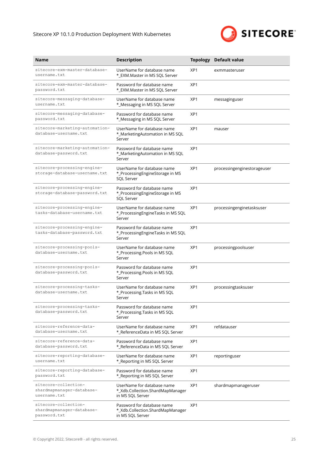### Sitecore XP 10.1.0 Production Deployment With Kubernetes



| <b>Name</b>                                                       | <b>Description</b>                                                                 | <b>Topology</b> | <b>Default value</b>        |
|-------------------------------------------------------------------|------------------------------------------------------------------------------------|-----------------|-----------------------------|
| sitecore-exm-master-database-<br>username.txt                     | UserName for database name<br>*_EXM.Master in MS SQL Server                        | XP <sub>1</sub> | exmmasteruser               |
| sitecore-exm-master-database-<br>password.txt                     | Password for database name<br>* EXM.Master in MS SQL Server                        | XP <sub>1</sub> |                             |
| sitecore-messaging-database-<br>username.txt                      | UserName for database name<br>* Messaging in MS SQL Server                         | XP <sub>1</sub> | messaginguser               |
| sitecore-messaging-database-<br>password.txt                      | Password for database name<br>* Messaging in MS SQL Server                         | XP <sub>1</sub> |                             |
| sitecore-marketing-automation-<br>database-username.txt           | UserName for database name<br>*_MarketingAutomation in MS SQL<br>Server            | XP <sub>1</sub> | mauser                      |
| sitecore-marketing-automation-<br>database-password.txt           | Password for database name<br>*_MarketingAutomation in MS SQL<br>Server            | XP <sub>1</sub> |                             |
| sitecore-processing-engine-<br>storage-database-username.txt      | UserName for database name<br>*_ProcessingEngineStorage in MS<br><b>SQL Server</b> | XP <sub>1</sub> | processingenginestorageuser |
| sitecore-processing-engine-<br>storage-database-password.txt      | Password for database name<br>*_ProcessingEngineStorage in MS<br><b>SQL Server</b> | XP <sub>1</sub> |                             |
| sitecore-processing-engine-<br>tasks-database-username.txt        | UserName for database name<br>*_ProcessingEngineTasks in MS SQL<br>Server          | XP <sub>1</sub> | processingenginetasksuser   |
| sitecore-processing-engine-<br>tasks-database-password.txt        | Password for database name<br>*_ProcessingEngineTasks in MS SQL<br>Server          | XP <sub>1</sub> |                             |
| sitecore-processing-pools-<br>database-username.txt               | UserName for database name<br>*_Processing.Pools in MS SQL<br>Server               | XP <sub>1</sub> | processingpoolsuser         |
| sitecore-processing-pools-<br>database-password.txt               | Password for database name<br>*_Processing.Pools in MS SQL<br>Server               | XP <sub>1</sub> |                             |
| sitecore-processing-tasks-<br>database-username.txt               | UserName for database name<br>*_Processing.Tasks in MS SQL<br>Server               | XP <sub>1</sub> | processingtasksuser         |
| sitecore-processing-tasks-<br>database-password.txt               | Password for database name<br>* Processing. Tasks in MS SQL<br>Server              | XP <sub>1</sub> |                             |
| sitecore-reference-data-<br>database-username.txt                 | UserName for database name<br>* ReferenceData in MS SQL Server                     | XP <sub>1</sub> | refdatauser                 |
| sitecore-reference-data-<br>database-password.txt                 | Password for database name<br>* ReferenceData in MS SQL Server                     | XP1             |                             |
| sitecore-reporting-database-<br>username.txt                      | UserName for database name<br>*_Reporting in MS SQL Server                         | XP1             | reportinguser               |
| sitecore-reporting-database-<br>password.txt                      | Password for database name<br>*_Reporting in MS SQL Server                         | XP1             |                             |
| sitecore-collection-<br>shardmapmanager-database-<br>username.txt | UserName for database name<br>*_Xdb.Collection.ShardMapManager<br>in MS SQL Server | XP1             | shardmapmanageruser         |
| sitecore-collection-<br>shardmapmanager-database-<br>password.txt | Password for database name<br>*_Xdb.Collection.ShardMapManager<br>in MS SQL Server | XP <sub>1</sub> |                             |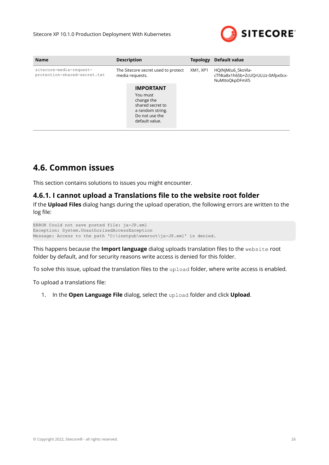

<span id="page-25-0"></span>

| <b>Name</b>                                             | <b>Description</b>                                                                                                     | <b>Topology</b> | Default value                                                            |  |
|---------------------------------------------------------|------------------------------------------------------------------------------------------------------------------------|-----------------|--------------------------------------------------------------------------|--|
| sitecore-media-request-<br>protection-shared-secret.txt | The Sitecore secret used to protect<br>media requests.                                                                 | <b>XM1, XP1</b> | HQ(NjM(u6_5koVla-<br>cTf4ta8x1h6Sb+ZcUQrULUz-0Afpx0cx-<br>NuMtloQkpDFmX5 |  |
|                                                         | <b>IMPORTANT</b><br>You must<br>change the<br>shared secret to<br>a random string.<br>Do not use the<br>default value. |                 |                                                                          |  |

## **4.6. Common issues**

This section contains solutions to issues you might encounter.

### **4.6.1. I cannot upload a Translations file to the website root folder**

If the **Upload Files** dialog hangs during the upload operation, the following errors are written to the log file:

```
ERROR Could not save posted file: ja-JP.xml
Exception: System.UnauthorizedAccessException
Message: Access to the path 'C:\inetpub\wwwroot\ja-JP.xml' is denied.
```
This happens because the **Import language** dialog uploads translation files to the website root folder by default, and for security reasons write access is denied for this folder.

To solve this issue, upload the translation files to the upload folder, where write access is enabled.

To upload a translations file:

1. In the **Open Language File** dialog, select the upload folder and click **Upload**.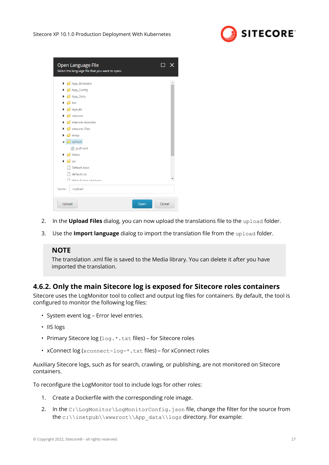

<span id="page-26-0"></span>

| Open Language File<br>Select the language file that you want to open.                                                                                                                                                                                                                                                                                                                                                                                                                                                                                              |        |
|--------------------------------------------------------------------------------------------------------------------------------------------------------------------------------------------------------------------------------------------------------------------------------------------------------------------------------------------------------------------------------------------------------------------------------------------------------------------------------------------------------------------------------------------------------------------|--------|
| App_Browsers<br>$\triangleright$ $\blacksquare$ App_Config<br>$\triangleright$ $\blacksquare$ App_Data<br>$\triangleright$ $\blacksquare$ bin<br>$\triangleright$ $\blacksquare$ layouts<br>$\triangleright$ $\blacksquare$ sitecore<br>$\triangleright$ $\blacksquare$ sitecore modules<br>$\triangleright$ $\blacksquare$ sitecore_files<br>$\triangleright$ $\blacksquare$ temp<br>$\triangleleft$ upload<br>≌ ja-JP.xml<br>$\triangleright$ $\blacksquare$ Views<br>$\triangleright$ $\blacksquare$ xsl<br>Default.aspx<br>default.css<br>default htm citedown |        |
| /upload<br>Name:                                                                                                                                                                                                                                                                                                                                                                                                                                                                                                                                                   |        |
| Upload<br>Open                                                                                                                                                                                                                                                                                                                                                                                                                                                                                                                                                     | Cancel |

- 2. In the **Upload Files** dialog, you can now upload the translations file to the upload folder.
- 3. Use the **Import language** dialog to import the translation file from the upload folder.

### **NOTE**

The translation .xml file is saved to the Media library. You can delete it after you have imported the translation.

### **4.6.2. Only the main Sitecore log is exposed for Sitecore roles containers**

Sitecore uses the LogMonitor tool to collect and output log files for containers. By default, the tool is configured to monitor the following log files:

- System event log Error level entries.
- IIS logs
- Primary Sitecore  $log (log.*.txt$  files) for Sitecore roles
- xConnect log (xconnect-log-\*.txt files) for xConnect roles

Auxiliary Sitecore logs, such as for search, crawling, or publishing, are not monitored on Sitecore containers.

To reconfigure the LogMonitor tool to include logs for other roles:

- 1. Create a Dockerfile with the corresponding role image.
- 2. In the  $C:\L{logMonitor}\L{odMonitorConfia, ison file, change the filter for the source from}$ the c:\\inetpub\\wwwroot\\App\_data\\logs directory. For example: